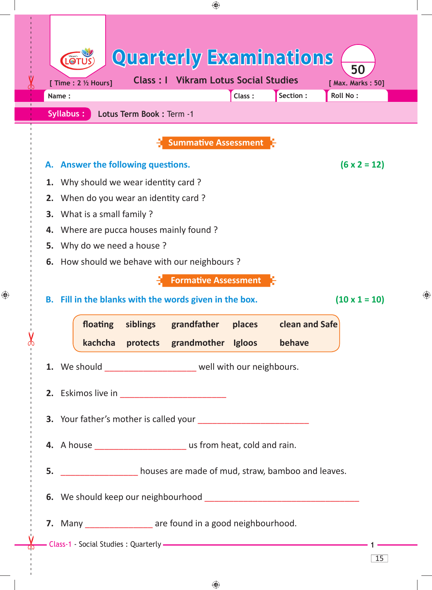

 $\bigoplus$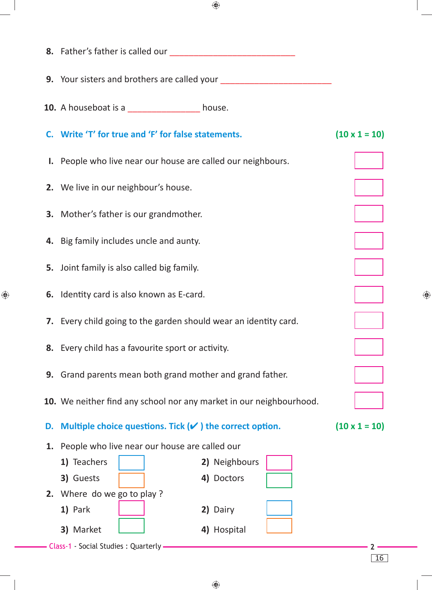|    | <b>9.</b> Your sisters and brothers are called your                 |                      |                      |  |  |
|----|---------------------------------------------------------------------|----------------------|----------------------|--|--|
|    | 10. A houseboat is a ___________________ house.                     |                      |                      |  |  |
|    | C. Write 'T' for true and 'F' for false statements.                 | $(10 \times 1 = 10)$ |                      |  |  |
|    | <b>I.</b> People who live near our house are called our neighbours. |                      |                      |  |  |
|    | 2. We live in our neighbour's house.                                |                      |                      |  |  |
|    | 3. Mother's father is our grandmother.                              |                      |                      |  |  |
|    | 4. Big family includes uncle and aunty.                             |                      |                      |  |  |
|    | <b>5.</b> Joint family is also called big family.                   |                      |                      |  |  |
|    | 6. Identity card is also known as E-card.                           |                      |                      |  |  |
|    | 7. Every child going to the garden should wear an identity card.    |                      |                      |  |  |
|    | 8. Every child has a favourite sport or activity.                   |                      |                      |  |  |
|    | 9. Grand parents mean both grand mother and grand father.           |                      |                      |  |  |
|    | 10. We neither find any school nor any market in our neighbourhood. |                      |                      |  |  |
| D. | Multiple choice questions. Tick $(v)$ the correct option.           |                      | $(10 \times 1 = 10)$ |  |  |
| 1. | People who live near our house are called our                       |                      |                      |  |  |
|    | 1) Teachers                                                         | 2) Neighbours        |                      |  |  |
|    | 3) Guests                                                           | 4) Doctors           |                      |  |  |
|    | 2. Where do we go to play?                                          |                      |                      |  |  |
|    | 1) Park                                                             | 2) Dairy             |                      |  |  |
|    | 3) Market                                                           | 4) Hospital          |                      |  |  |
|    | Class-1 - Social Studies : Quarterly -                              |                      |                      |  |  |
|    |                                                                     |                      | 16                   |  |  |

 $\bigoplus$ 

 $\bigoplus$ 

♦

 $\bigoplus$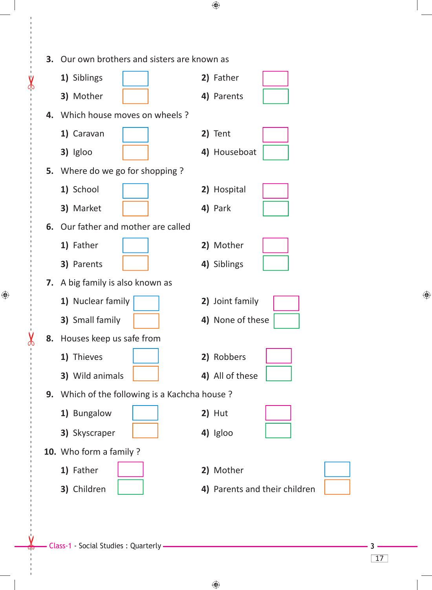| <b>3.</b> Our own brothers and sisters are known as |                               |  |
|-----------------------------------------------------|-------------------------------|--|
| 1) Siblings                                         | 2) Father                     |  |
| 3) Mother                                           | 4) Parents                    |  |
| 4. Which house moves on wheels?                     |                               |  |
| 1) Caravan                                          | 2) Tent                       |  |
| 3) Igloo                                            | 4) Houseboat                  |  |
| 5. Where do we go for shopping ?                    |                               |  |
| 1) School                                           | 2) Hospital                   |  |
| 3) Market                                           | 4) Park                       |  |
| 6. Our father and mother are called                 |                               |  |
| 1) Father                                           | 2) Mother                     |  |
| 3) Parents                                          | 4) Siblings                   |  |
| 7. A big family is also known as                    |                               |  |
| 1) Nuclear family                                   | 2) Joint family               |  |
| 3) Small family                                     | 4) None of these              |  |
| 8. Houses keep us safe from                         |                               |  |
| 1) Thieves                                          | 2) Robbers                    |  |
| 3) Wild animals                                     | 4) All of these               |  |
| 9. Which of the following is a Kachcha house?       |                               |  |
| 1) Bungalow                                         | $2)$ Hut                      |  |
| 3) Skyscraper                                       | 4) Igloo                      |  |
| 10. Who form a family ?                             |                               |  |
| 1) Father                                           | 2) Mother                     |  |
| 3) Children                                         | 4) Parents and their children |  |

 $\bigoplus$ 

 $\bigoplus$